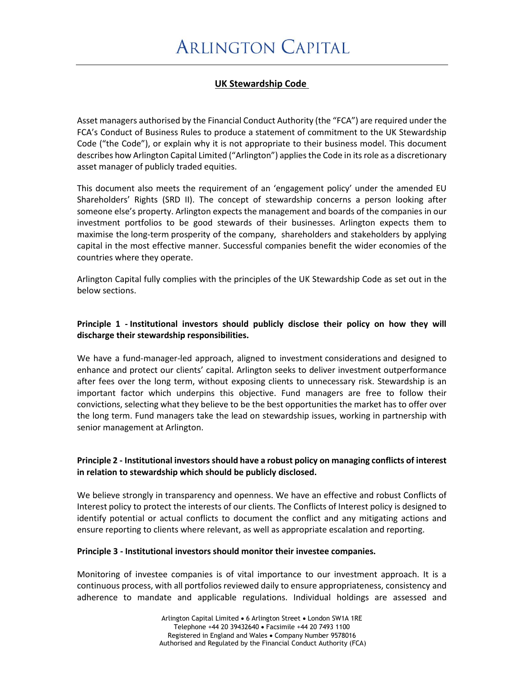# **UK Stewardship Code**

Asset managers authorised by the Financial Conduct Authority (the "FCA") are required under the FCA's Conduct of Business Rules to produce a statement of commitment to the UK Stewardship Code ("the Code"), or explain why it is not appropriate to their business model. This document describes how Arlington Capital Limited ("Arlington") applies the Code in its role as a discretionary asset manager of publicly traded equities.

This document also meets the requirement of an 'engagement policy' under the amended EU Shareholders' Rights (SRD II). The concept of stewardship concerns a person looking after someone else's property. Arlington expects the management and boards of the companies in our investment portfolios to be good stewards of their businesses. Arlington expects them to maximise the long-term prosperity of the company, shareholders and stakeholders by applying capital in the most effective manner. Successful companies benefit the wider economies of the countries where they operate.

Arlington Capital fully complies with the principles of the UK Stewardship Code as set out in the below sections.

## **Principle 1 - Institutional investors should publicly disclose their policy on how they will discharge their stewardship responsibilities.**

We have a fund-manager-led approach, aligned to investment considerations and designed to enhance and protect our clients' capital. Arlington seeks to deliver investment outperformance after fees over the long term, without exposing clients to unnecessary risk. Stewardship is an important factor which underpins this objective. Fund managers are free to follow their convictions, selecting what they believe to be the best opportunities the market has to offer over the long term. Fund managers take the lead on stewardship issues, working in partnership with senior management at Arlington.

### **Principle 2 - Institutional investors should have a robust policy on managing conflicts of interest in relation to stewardship which should be publicly disclosed.**

We believe strongly in transparency and openness. We have an effective and robust Conflicts of Interest policy to protect the interests of our clients. The Conflicts of Interest policy is designed to identify potential or actual conflicts to document the conflict and any mitigating actions and ensure reporting to clients where relevant, as well as appropriate escalation and reporting.

#### **Principle 3 - Institutional investors should monitor their investee companies.**

Monitoring of investee companies is of vital importance to our investment approach. It is a continuous process, with all portfolios reviewed daily to ensure appropriateness, consistency and adherence to mandate and applicable regulations. Individual holdings are assessed and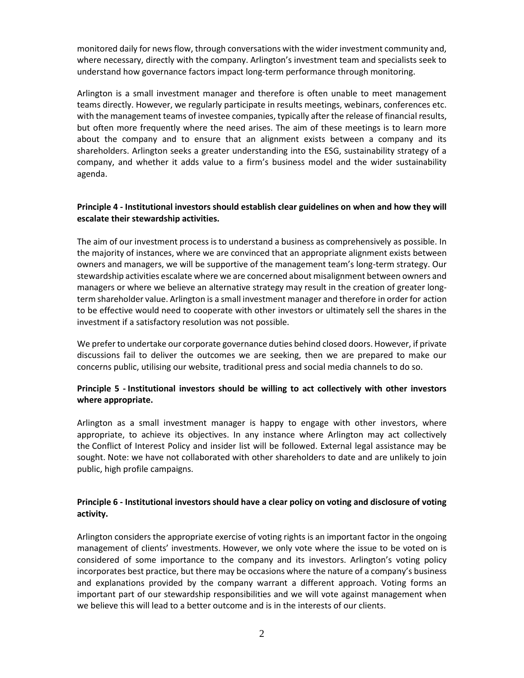monitored daily for news flow, through conversations with the wider investment community and, where necessary, directly with the company. Arlington's investment team and specialists seek to understand how governance factors impact long-term performance through monitoring.

Arlington is a small investment manager and therefore is often unable to meet management teams directly. However, we regularly participate in results meetings, webinars, conferences etc. with the management teams of investee companies, typically after the release of financial results, but often more frequently where the need arises. The aim of these meetings is to learn more about the company and to ensure that an alignment exists between a company and its shareholders. Arlington seeks a greater understanding into the ESG, sustainability strategy of a company, and whether it adds value to a firm's business model and the wider sustainability agenda.

### **Principle 4 - Institutional investors should establish clear guidelines on when and how they will escalate their stewardship activities.**

The aim of our investment process is to understand a business as comprehensively as possible. In the majority of instances, where we are convinced that an appropriate alignment exists between owners and managers, we will be supportive of the management team's long-term strategy. Our stewardship activities escalate where we are concerned about misalignment between owners and managers or where we believe an alternative strategy may result in the creation of greater longterm shareholder value. Arlington is a small investment manager and therefore in order for action to be effective would need to cooperate with other investors or ultimately sell the shares in the investment if a satisfactory resolution was not possible.

We prefer to undertake our corporate governance duties behind closed doors. However, if private discussions fail to deliver the outcomes we are seeking, then we are prepared to make our concerns public, utilising our website, traditional press and social media channels to do so.

### **Principle 5 - Institutional investors should be willing to act collectively with other investors where appropriate.**

Arlington as a small investment manager is happy to engage with other investors, where appropriate, to achieve its objectives. In any instance where Arlington may act collectively the Conflict of Interest Policy and insider list will be followed. External legal assistance may be sought. Note: we have not collaborated with other shareholders to date and are unlikely to join public, high profile campaigns.

### **Principle 6 - Institutional investors should have a clear policy on voting and disclosure of voting activity.**

Arlington considers the appropriate exercise of voting rights is an important factor in the ongoing management of clients' investments. However, we only vote where the issue to be voted on is considered of some importance to the company and its investors. Arlington's voting policy incorporates best practice, but there may be occasions where the nature of a company's business and explanations provided by the company warrant a different approach. Voting forms an important part of our stewardship responsibilities and we will vote against management when we believe this will lead to a better outcome and is in the interests of our clients.